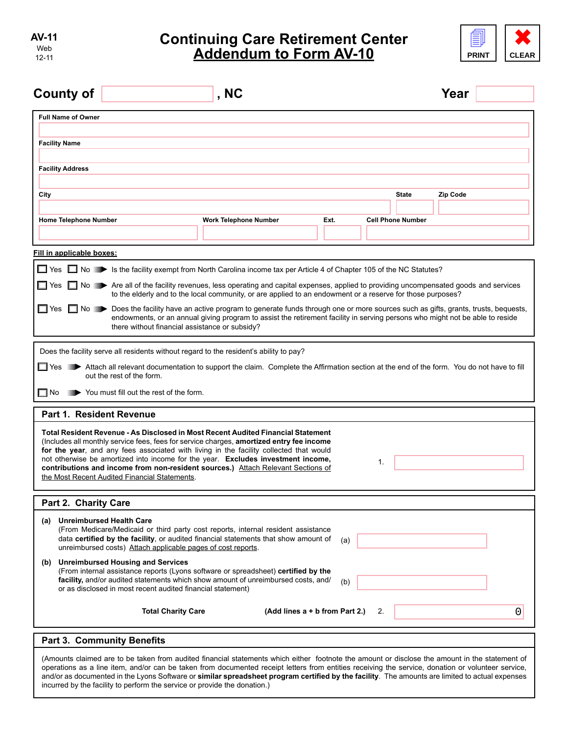

| <b>County of</b>                                                                                                                                                                                                                                                                                                                                                                                                                                                                                | . NC                                                                                                                                                                           |                                |                          | Year     |
|-------------------------------------------------------------------------------------------------------------------------------------------------------------------------------------------------------------------------------------------------------------------------------------------------------------------------------------------------------------------------------------------------------------------------------------------------------------------------------------------------|--------------------------------------------------------------------------------------------------------------------------------------------------------------------------------|--------------------------------|--------------------------|----------|
| <b>Full Name of Owner</b>                                                                                                                                                                                                                                                                                                                                                                                                                                                                       |                                                                                                                                                                                |                                |                          |          |
| <b>Facility Name</b>                                                                                                                                                                                                                                                                                                                                                                                                                                                                            |                                                                                                                                                                                |                                |                          |          |
|                                                                                                                                                                                                                                                                                                                                                                                                                                                                                                 |                                                                                                                                                                                |                                |                          |          |
| <b>Facility Address</b>                                                                                                                                                                                                                                                                                                                                                                                                                                                                         |                                                                                                                                                                                |                                |                          |          |
| City                                                                                                                                                                                                                                                                                                                                                                                                                                                                                            |                                                                                                                                                                                |                                | <b>State</b>             | Zip Code |
|                                                                                                                                                                                                                                                                                                                                                                                                                                                                                                 |                                                                                                                                                                                |                                |                          |          |
| <b>Home Telephone Number</b>                                                                                                                                                                                                                                                                                                                                                                                                                                                                    | <b>Work Telephone Number</b>                                                                                                                                                   | Ext.                           | <b>Cell Phone Number</b> |          |
|                                                                                                                                                                                                                                                                                                                                                                                                                                                                                                 |                                                                                                                                                                                |                                |                          |          |
| Fill in applicable boxes:                                                                                                                                                                                                                                                                                                                                                                                                                                                                       |                                                                                                                                                                                |                                |                          |          |
| ■ Yes ■ No → Is the facility exempt from North Carolina income tax per Article 4 of Chapter 105 of the NC Statutes?<br>■ Yes ■ No → Are all of the facility revenues, less operating and capital expenses, applied to providing uncompensated goods and services                                                                                                                                                                                                                                |                                                                                                                                                                                |                                |                          |          |
|                                                                                                                                                                                                                                                                                                                                                                                                                                                                                                 | to the elderly and to the local community, or are applied to an endowment or a reserve for those purposes?                                                                     |                                |                          |          |
| □ Yes □ No ▶ Does the facility have an active program to generate funds through one or more sources such as gifts, grants, trusts, bequests,                                                                                                                                                                                                                                                                                                                                                    | endowments, or an annual giving program to assist the retirement facility in serving persons who might not be able to reside<br>there without financial assistance or subsidy? |                                |                          |          |
| Does the facility serve all residents without regard to the resident's ability to pay?                                                                                                                                                                                                                                                                                                                                                                                                          |                                                                                                                                                                                |                                |                          |          |
| ■ Yes ★ Attach all relevant documentation to support the claim. Complete the Affirmation section at the end of the form. You do not have to fill                                                                                                                                                                                                                                                                                                                                                |                                                                                                                                                                                |                                |                          |          |
| out the rest of the form.                                                                                                                                                                                                                                                                                                                                                                                                                                                                       |                                                                                                                                                                                |                                |                          |          |
| You must fill out the rest of the form.<br>  No                                                                                                                                                                                                                                                                                                                                                                                                                                                 |                                                                                                                                                                                |                                |                          |          |
| Part 1. Resident Revenue                                                                                                                                                                                                                                                                                                                                                                                                                                                                        |                                                                                                                                                                                |                                |                          |          |
| Total Resident Revenue - As Disclosed in Most Recent Audited Financial Statement<br>(Includes all monthly service fees, fees for service charges, amortized entry fee income<br>for the year, and any fees associated with living in the facility collected that would<br>not otherwise be amortized into income for the year. Excludes investment income,<br>contributions and income from non-resident sources.) Attach Relevant Sections of<br>the Most Recent Audited Financial Statements. |                                                                                                                                                                                |                                | 1.                       |          |
| Part 2. Charity Care                                                                                                                                                                                                                                                                                                                                                                                                                                                                            |                                                                                                                                                                                |                                |                          |          |
| <b>Unreimbursed Health Care</b><br>(a)<br>unreimbursed costs) Attach applicable pages of cost reports.                                                                                                                                                                                                                                                                                                                                                                                          | (From Medicare/Medicaid or third party cost reports, internal resident assistance<br>data certified by the facility, or audited financial statements that show amount of       | (a)                            |                          |          |
| (b) Unreimbursed Housing and Services<br>or as disclosed in most recent audited financial statement)                                                                                                                                                                                                                                                                                                                                                                                            | (From internal assistance reports (Lyons software or spreadsheet) certified by the<br>facility, and/or audited statements which show amount of unreimbursed costs, and/        | (b)                            |                          |          |
|                                                                                                                                                                                                                                                                                                                                                                                                                                                                                                 | <b>Total Charity Care</b>                                                                                                                                                      | (Add lines a + b from Part 2.) | 2.                       | 0        |
| <b>Part 3. Community Benefits</b>                                                                                                                                                                                                                                                                                                                                                                                                                                                               |                                                                                                                                                                                |                                |                          |          |
|                                                                                                                                                                                                                                                                                                                                                                                                                                                                                                 | (Amounts claimed are to be taken from audited financial statements which either footnote the amount or disclose the amount in the statement of                                 |                                |                          |          |

(Amounts claimed are to be taken from audited financial statements which either footnote the amount or disclose the amount in the statement of operations as a line item, and/or can be taken from documented receipt letters from entities receiving the service, donation or volunteer service, and/or as documented in the Lyons Software or **similar spreadsheet program certified by the facility**. The amounts are limited to actual expenses incurred by the facility to perform the service or provide the donation.)